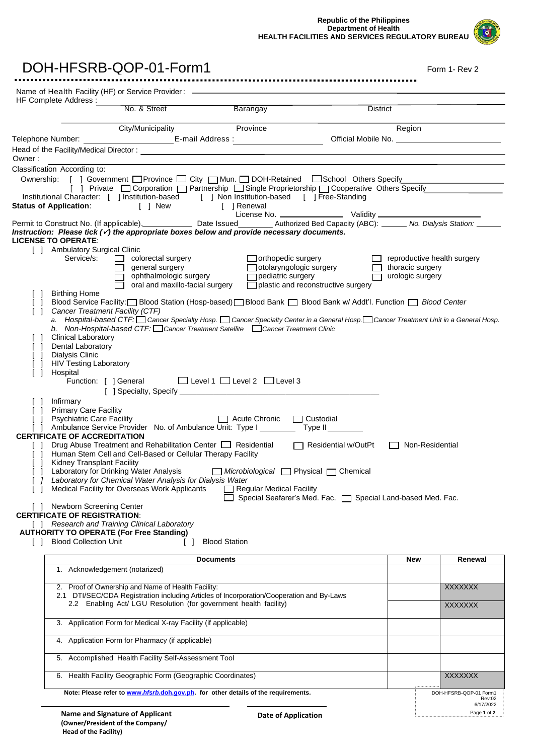**Republic of the Philippines Department of Health HEALTH FACILITIES AND SERVICES REGULATORY BUREAU**

| DOH-HFSRB-QOP-01-Form1                                                                                                                                                                                                                                                  |                                      | Form 1- Rev 2                    |
|-------------------------------------------------------------------------------------------------------------------------------------------------------------------------------------------------------------------------------------------------------------------------|--------------------------------------|----------------------------------|
| <br>Name of Health Facility (HF) or Service Provider: ______________________________                                                                                                                                                                                    |                                      |                                  |
| HF Complete Address :<br>No. & Street<br>Barangay<br><b>District</b>                                                                                                                                                                                                    |                                      |                                  |
| Province<br>City/Municipality                                                                                                                                                                                                                                           | Region                               |                                  |
|                                                                                                                                                                                                                                                                         |                                      |                                  |
| Owner:<br>Classification According to:                                                                                                                                                                                                                                  |                                      |                                  |
| Ownership: [ ] Government □Province □ City □ Mun. □ DOH-Retained □School Others Specify                                                                                                                                                                                 |                                      |                                  |
| [ ] Private □ Corporation □ Partnership □ Single Proprietorship □ Cooperative Others Specify<br>Institutional Character: [ ] Institution-based [ ] Non Institution-based [ ] Free-Standing<br>atus of Application: [ ] New [ ] Renewal<br><b>Status of Application:</b> |                                      |                                  |
| Permit to Construct No. (If applicable). Date Issued ________ Authorized Bed Capacity (ABC): _____ No. Dialysis Station: _____                                                                                                                                          |                                      |                                  |
| Instruction: Please tick $(\check{\mathcal{C}})$ the appropriate boxes below and provide necessary documents.<br><b>LICENSE TO OPERATE:</b>                                                                                                                             |                                      |                                  |
| [ ] Ambulatory Surgical Clinic                                                                                                                                                                                                                                          |                                      |                                  |
| Service/s:<br>$\Box$<br>colorectal surgery<br>$\Box$ orthopedic surgery                                                                                                                                                                                                 | $\Box$ reproductive health surgery   |                                  |
| $\Box$ general surgery<br>□ otolaryngologic surgery<br>□ pediatric surgery<br>□ general surgery<br>□ ophthalmologic surgery                                                                                                                                             | thoracic surgery<br>urologic surgery |                                  |
| oral and maxillo-facial surgery<br>$\Box$ plastic and reconstructive surgery<br><b>Birthing Home</b>                                                                                                                                                                    |                                      |                                  |
| Blood Service Facility: [ Blood Station (Hosp-based) [ Blood Bank [ Blood Bank w/ Addt'l. Function [ Blood Center                                                                                                                                                       |                                      |                                  |
| Cancer Treatment Facility (CTF)<br>$\Box$<br>a. Hospital-based CTF: Cancer Specialty Hosp. Cancer Specialty Center in a General Hosp. Cancer Treatment Unit in a General Hosp.                                                                                          |                                      |                                  |
| b. Non-Hospital-based CTF: Cancer Treatment Satellite Cancer Treatment Clinic                                                                                                                                                                                           |                                      |                                  |
| <b>Clinical Laboratory</b><br>Dental Laboratory                                                                                                                                                                                                                         |                                      |                                  |
| Dialysis Clinic                                                                                                                                                                                                                                                         |                                      |                                  |
| <b>HIV Testing Laboratory</b>                                                                                                                                                                                                                                           |                                      |                                  |
| Hospital<br>$\Box$                                                                                                                                                                                                                                                      |                                      |                                  |
| Function: [ ] General □ Level 1 □ Level 2 □ Level 3                                                                                                                                                                                                                     |                                      |                                  |
| Infirmary                                                                                                                                                                                                                                                               |                                      |                                  |
| <b>Primary Care Facility</b>                                                                                                                                                                                                                                            |                                      |                                  |
| <b>Psychiatric Care Facility</b><br>$\Box$ Acute Chronic $\Box$ Custodial<br>Ambulance Service Provider No. of Ambulance Unit: Type I                                                                                                                                   |                                      |                                  |
| $Type II$ $\_\_\_\_\_\_\_\_\_\_\_\_\_$<br><b>CERTIFICATE OF ACCREDITATION</b>                                                                                                                                                                                           |                                      |                                  |
| Drug Abuse Treatment and Rehabilitation Center □ Residential<br>Residential w/OutPt                                                                                                                                                                                     | Non-Residential                      |                                  |
| Human Stem Cell and Cell-Based or Cellular Therapy Facility<br>$\Box$<br>Kidney Transplant Facility                                                                                                                                                                     |                                      |                                  |
| Laboratory for Drinking Water Analysis<br>Microbiological Physical no Chemical<br>Laboratory for Chemical Water Analysis for Dialysis Water                                                                                                                             |                                      |                                  |
| Medical Facility for Overseas Work Applicants<br>Regular Medical Facility<br>Special Seafarer's Med. Fac.   Special Land-based Med. Fac.                                                                                                                                |                                      |                                  |
| Newborn Screening Center                                                                                                                                                                                                                                                |                                      |                                  |
| <b>CERTIFICATE OF REGISTRATION:</b><br>Research and Training Clinical Laboratory<br>ΓT                                                                                                                                                                                  |                                      |                                  |
| <b>AUTHORITY TO OPERATE (For Free Standing)</b>                                                                                                                                                                                                                         |                                      |                                  |
| <b>Blood Collection Unit</b><br><b>Blood Station</b>                                                                                                                                                                                                                    |                                      |                                  |
| <b>Documents</b>                                                                                                                                                                                                                                                        | New                                  | Renewal                          |
| 1. Acknowledgement (notarized)                                                                                                                                                                                                                                          |                                      |                                  |
| 2. Proof of Ownership and Name of Health Facility:                                                                                                                                                                                                                      |                                      | <b>XXXXXXX</b>                   |
| 2.1 DTI/SEC/CDA Registration including Articles of Incorporation/Cooperation and By-Laws<br>2.2 Enabling Act/ LGU Resolution (for government health facility)                                                                                                           |                                      | <b>XXXXXXX</b>                   |
| Application Form for Medical X-ray Facility (if applicable)<br>3.                                                                                                                                                                                                       |                                      |                                  |
| 4. Application Form for Pharmacy (if applicable)                                                                                                                                                                                                                        |                                      |                                  |
| 5. Accomplished Health Facility Self-Assessment Tool                                                                                                                                                                                                                    |                                      |                                  |
| 6. Health Facility Geographic Form (Geographic Coordinates)                                                                                                                                                                                                             |                                      | <b>XXXXXXX</b>                   |
| Note: Please refer to www.hfsrb.doh.gov.ph. for other details of the requirements.                                                                                                                                                                                      |                                      | DOH-HFSRB-QOP-01 Form1<br>Rev:02 |
|                                                                                                                                                                                                                                                                         |                                      | 6/17/2022                        |

**Date of Application**